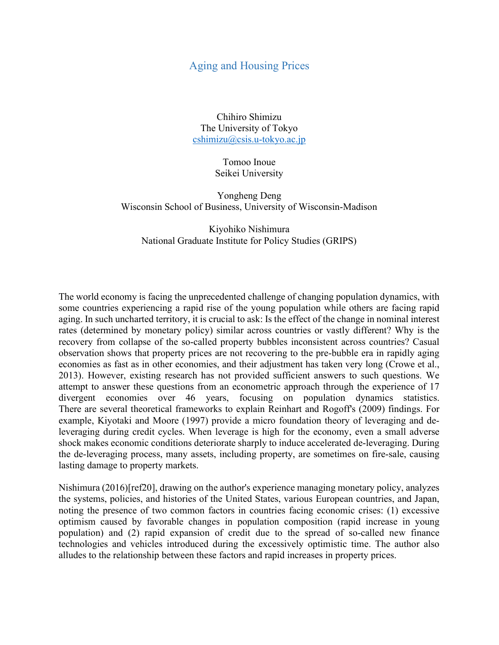## Aging and Housing Prices

Chihiro Shimizu The University of Tokyo cshimizu@csis.u-tokyo.ac.jp

> Tomoo Inoue Seikei University

Yongheng Deng Wisconsin School of Business, University of Wisconsin-Madison

Kiyohiko Nishimura National Graduate Institute for Policy Studies (GRIPS)

The world economy is facing the unprecedented challenge of changing population dynamics, with some countries experiencing a rapid rise of the young population while others are facing rapid aging. In such uncharted territory, it is crucial to ask: Is the effect of the change in nominal interest rates (determined by monetary policy) similar across countries or vastly different? Why is the recovery from collapse of the so-called property bubbles inconsistent across countries? Casual observation shows that property prices are not recovering to the pre-bubble era in rapidly aging economies as fast as in other economies, and their adjustment has taken very long (Crowe et al., 2013). However, existing research has not provided sufficient answers to such questions. We attempt to answer these questions from an econometric approach through the experience of 17 divergent economies over 46 years, focusing on population dynamics statistics. There are several theoretical frameworks to explain Reinhart and Rogoff's (2009) findings. For example, Kiyotaki and Moore (1997) provide a micro foundation theory of leveraging and deleveraging during credit cycles. When leverage is high for the economy, even a small adverse shock makes economic conditions deteriorate sharply to induce accelerated de-leveraging. During the de-leveraging process, many assets, including property, are sometimes on fire-sale, causing lasting damage to property markets.

Nishimura (2016)[ref20], drawing on the author's experience managing monetary policy, analyzes the systems, policies, and histories of the United States, various European countries, and Japan, noting the presence of two common factors in countries facing economic crises: (1) excessive optimism caused by favorable changes in population composition (rapid increase in young population) and (2) rapid expansion of credit due to the spread of so-called new finance technologies and vehicles introduced during the excessively optimistic time. The author also alludes to the relationship between these factors and rapid increases in property prices.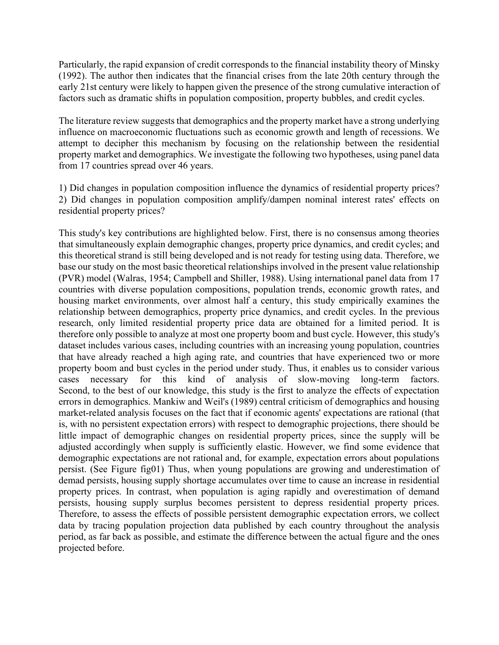Particularly, the rapid expansion of credit corresponds to the financial instability theory of Minsky (1992). The author then indicates that the financial crises from the late 20th century through the early 21st century were likely to happen given the presence of the strong cumulative interaction of factors such as dramatic shifts in population composition, property bubbles, and credit cycles.

The literature review suggests that demographics and the property market have a strong underlying influence on macroeconomic fluctuations such as economic growth and length of recessions. We attempt to decipher this mechanism by focusing on the relationship between the residential property market and demographics. We investigate the following two hypotheses, using panel data from 17 countries spread over 46 years.

1) Did changes in population composition influence the dynamics of residential property prices? 2) Did changes in population composition amplify/dampen nominal interest rates' effects on residential property prices?

This study's key contributions are highlighted below. First, there is no consensus among theories that simultaneously explain demographic changes, property price dynamics, and credit cycles; and this theoretical strand is still being developed and is not ready for testing using data. Therefore, we base our study on the most basic theoretical relationships involved in the present value relationship (PVR) model (Walras, 1954; Campbell and Shiller, 1988). Using international panel data from 17 countries with diverse population compositions, population trends, economic growth rates, and housing market environments, over almost half a century, this study empirically examines the relationship between demographics, property price dynamics, and credit cycles. In the previous research, only limited residential property price data are obtained for a limited period. It is therefore only possible to analyze at most one property boom and bust cycle. However, this study's dataset includes various cases, including countries with an increasing young population, countries that have already reached a high aging rate, and countries that have experienced two or more property boom and bust cycles in the period under study. Thus, it enables us to consider various cases necessary for this kind of analysis of slow-moving long-term factors. Second, to the best of our knowledge, this study is the first to analyze the effects of expectation errors in demographics. Mankiw and Weil's (1989) central criticism of demographics and housing market-related analysis focuses on the fact that if economic agents' expectations are rational (that is, with no persistent expectation errors) with respect to demographic projections, there should be little impact of demographic changes on residential property prices, since the supply will be adjusted accordingly when supply is sufficiently elastic. However, we find some evidence that demographic expectations are not rational and, for example, expectation errors about populations persist. (See Figure fig01) Thus, when young populations are growing and underestimation of demad persists, housing supply shortage accumulates over time to cause an increase in residential property prices. In contrast, when population is aging rapidly and overestimation of demand persists, housing supply surplus becomes persistent to depress residential property prices. Therefore, to assess the effects of possible persistent demographic expectation errors, we collect data by tracing population projection data published by each country throughout the analysis period, as far back as possible, and estimate the difference between the actual figure and the ones projected before.